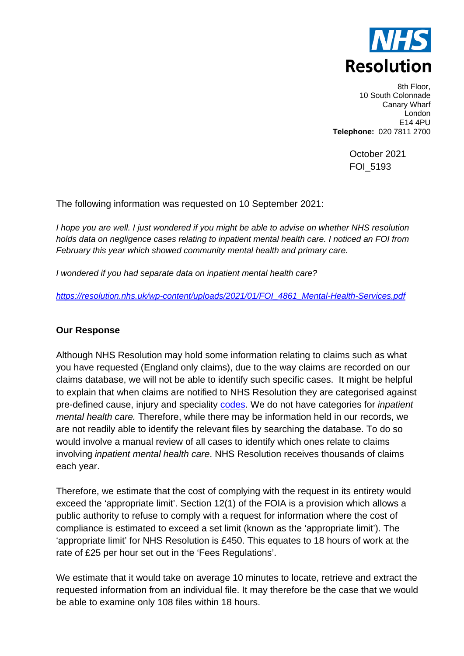

8th Floor, 10 South Colonnade Canary Wharf London E14 4PU **Telephone:** 020 7811 2700

> October 2021 FOI\_5193

The following information was requested on 10 September 2021:

*I hope you are well. I just wondered if you might be able to advise on whether NHS resolution holds data on negligence cases relating to inpatient mental health care. I noticed an FOI from February this year which showed community mental health and primary care.* 

*I wondered if you had separate data on inpatient mental health care?* 

*[https://resolution.nhs.uk/wp-content/uploads/2021/01/FOI\\_4861\\_Mental-Health-Services.pdf](https://resolution.nhs.uk/wp-content/uploads/2021/01/FOI_4861_Mental-Health-Services.pdf)*

## **Our Response**

Although NHS Resolution may hold some information relating to claims such as what you have requested (England only claims), due to the way claims are recorded on our claims database, we will not be able to identify such specific cases. It might be helpful to explain that when claims are notified to NHS Resolution they are categorised against pre-defined cause, injury and speciality [codes.](https://resolution.nhs.uk/wp-content/uploads/2018/10/Guidance-note-Understanding-NHS-Resolution-data-v2.pdf) We do not have categories for *inpatient mental health care.* Therefore, while there may be information held in our records, we are not readily able to identify the relevant files by searching the database. To do so would involve a manual review of all cases to identify which ones relate to claims involving *inpatient mental health care*. NHS Resolution receives thousands of claims each year.

Therefore, we estimate that the cost of complying with the request in its entirety would exceed the 'appropriate limit'. Section 12(1) of the FOIA is a provision which allows a public authority to refuse to comply with a request for information where the cost of compliance is estimated to exceed a set limit (known as the 'appropriate limit'). The 'appropriate limit' for NHS Resolution is £450. This equates to 18 hours of work at the rate of £25 per hour set out in the 'Fees Regulations'.

We estimate that it would take on average 10 minutes to locate, retrieve and extract the requested information from an individual file. It may therefore be the case that we would be able to examine only 108 files within 18 hours.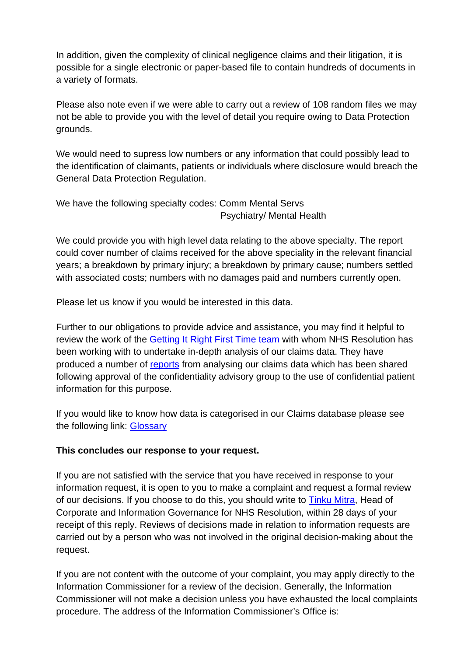In addition, given the complexity of clinical negligence claims and their litigation, it is possible for a single electronic or paper-based file to contain hundreds of documents in a variety of formats.

Please also note even if we were able to carry out a review of 108 random files we may not be able to provide you with the level of detail you require owing to Data Protection grounds.

We would need to supress low numbers or any information that could possibly lead to the identification of claimants, patients or individuals where disclosure would breach the General Data Protection Regulation.

We have the following specialty codes: Comm Mental Servs Psychiatry/ Mental Health

We could provide you with high level data relating to the above specialty. The report could cover number of claims received for the above speciality in the relevant financial years; a breakdown by primary injury; a breakdown by primary cause; numbers settled with associated costs; numbers with no damages paid and numbers currently open.

Please let us know if you would be interested in this data.

Further to our obligations to provide advice and assistance, you may find it helpful to review the work of the [Getting It Right First Time team](https://improvement.nhs.uk/news-alerts/getting-it-right-first-time-recruits-new-clinical-leads/#h2-getting-it-right-first-time-girft-overview) with whom NHS Resolution has been working with to undertake in-depth analysis of our claims data. They have produced a number of [reports](https://gettingitrightfirsttime.co.uk/) from analysing our claims data which has been shared following approval of the confidentiality advisory group to the use of confidential patient information for this purpose.

If you would like to know how data is categorised in our Claims database please see the following link: [Glossary](https://resolution.nhs.uk/wp-content/uploads/2018/10/Guidance-note-Understanding-NHS-Resolution-data-v2.pdf)

## **This concludes our response to your request.**

If you are not satisfied with the service that you have received in response to your information request, it is open to you to make a complaint and request a formal review of our decisions. If you choose to do this, you should write to [Tinku Mitra,](mailto:tinku.mitra@nhsla.com) Head of Corporate and Information Governance for NHS Resolution, within 28 days of your receipt of this reply. Reviews of decisions made in relation to information requests are carried out by a person who was not involved in the original decision-making about the request.

If you are not content with the outcome of your complaint, you may apply directly to the Information Commissioner for a review of the decision. Generally, the Information Commissioner will not make a decision unless you have exhausted the local complaints procedure. The address of the Information Commissioner's Office is: